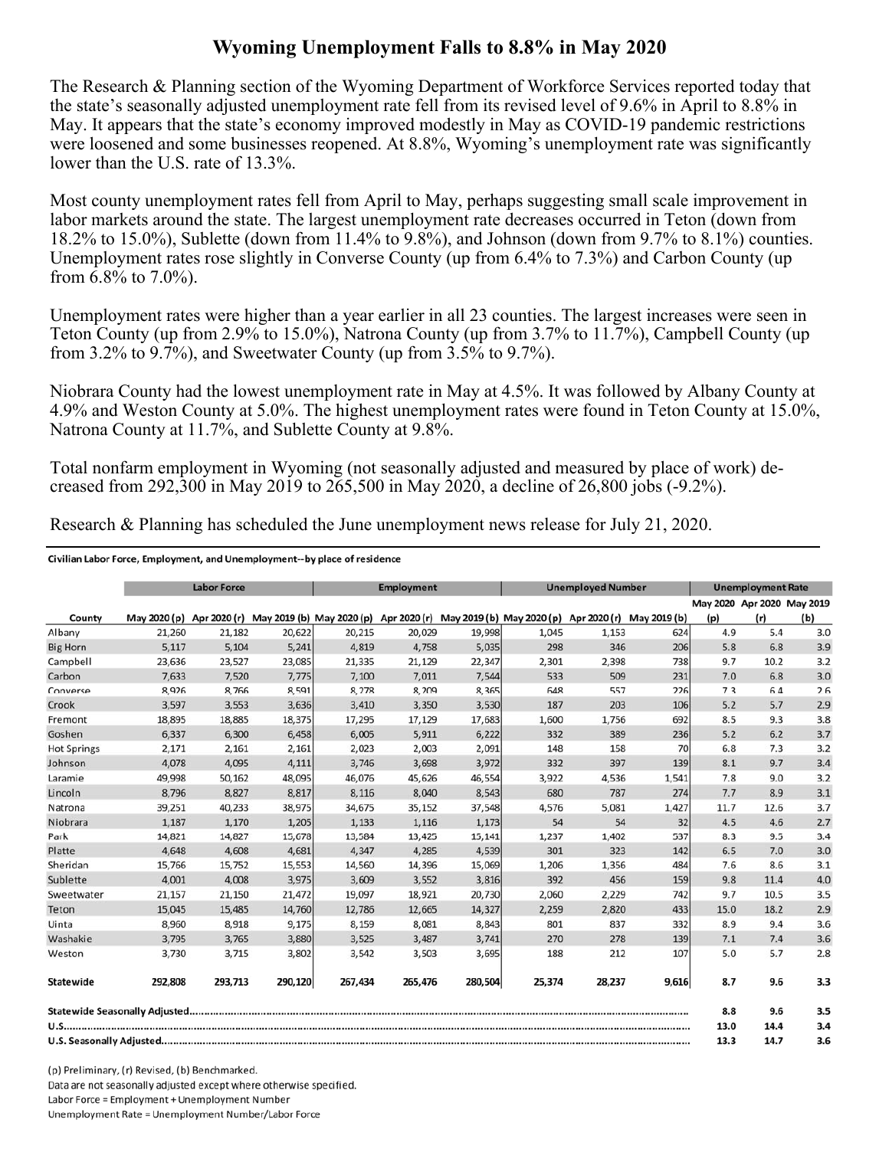## **Wyoming Unemployment Falls to 8.8% in May 2020**

The Research & Planning section of the Wyoming Department of Workforce Services reported today that the state's seasonally adjusted unemployment rate fell from its revised level of 9.6% in April to 8.8% in May. It appears that the state's economy improved modestly in May as COVID-19 pandemic restrictions were loosened and some businesses reopened. At 8.8%, Wyoming's unemployment rate was significantly lower than the U.S. rate of 13.3%.

Most county unemployment rates fell from April to May, perhaps suggesting small scale improvement in labor markets around the state. The largest unemployment rate decreases occurred in Teton (down from 18.2% to 15.0%), Sublette (down from 11.4% to 9.8%), and Johnson (down from 9.7% to 8.1%) counties. Unemployment rates rose slightly in Converse County (up from 6.4% to 7.3%) and Carbon County (up from  $6.8\%$  to  $7.0\%$ ).

Unemployment rates were higher than a year earlier in all 23 counties. The largest increases were seen in Teton County (up from 2.9% to 15.0%), Natrona County (up from 3.7% to 11.7%), Campbell County (up from 3.2% to 9.7%), and Sweetwater County (up from 3.5% to 9.7%).

Niobrara County had the lowest unemployment rate in May at 4.5%. It was followed by Albany County at 4.9% and Weston County at 5.0%. The highest unemployment rates were found in Teton County at 15.0%, Natrona County at 11.7%, and Sublette County at 9.8%.

Total nonfarm employment in Wyoming (not seasonally adjusted and measured by place of work) decreased from 292,300 in May 2019 to 265,500 in May 2020, a decline of 26,800 jobs (-9.2%).

**Employment Labor Force Unemployed Number Unemployment Rate** May 2020 Apr 2020 May 2019 May 2020 (p) Apr 2020 (r) May 2019 (b) May 2020 (p) Apr 2020 (r) May 2019 (b) May 2020 (p) Apr 2020 (r) May 2019 (b) County  $(p)$  $(r)$  $(b)$ Albany 21.260 21.182 20.622 20.215 20.029 19.998 1.045 1.153 624 4.9 5.4  $3.0$ 4,819 5,035 298 **Big Horn**  $5,117$ 5,104 5,241 4,758 346 206  $5.8$ 6.8  $3.9$ Campbell 23,636 23,527 23,085 21,335 21,129 22,347 2.301 2.398 738 9.7 10.2  $3.2$ 231 Carbon 7,633 7,520 7,775 7,100 7,011 7,544 533 509  $7.0$ 6.8  $3.0\,$ 226 8,926 8,766 8,591 8,278 8,209 8,365 648 557  $7.3$  $6.4$ 2.6 Converse Crook 106 3,597 3,553 3,636 3,410 3,350 3,530 187 203  $5.2$ 5.7  $2.9$ 18,895 18,885 18,375 17,295 17,129 17,683 1,600 1,756 692 8.5  $9.3$  $3.8$ Fremont 6,337 6,300 6,458 6,005 5,911  $6,222$ 332 389 236  $5.2$  $6.2$  $3.7$ Goshen 2,091  $70$ **Hot Springs** 2.171 2.161 2,161 2.023 2.003 148 158 6.8  $7.3$ 3.2 4,078 4,095 4,111 3,746 3,972 332 397 139 8.1 9.7  $3.4$ Johnson 3,698 48,095 45,626 46,554 1,541  $7.8$  $9.0$  $3.2$ Laramie 49.998 50.162 46.076 3.922 4.536 Lincoln 8,796 8,827 8,817 8,116 8,040 8,543 680 787 274  $7.7$ 8.9  $3.1$ 38,975 34,675 37,548 4,576 5,081 1,427  $3.7$ Natrona 39,251 40,233 35,152 11.7 12.6 Niobrara 1,187 1,170 1,205 1,133 1,116 1,173 54 54  $32$  $4.5$  $4.6$  $2.7$ 14.827 15.678 13.584 15.141 1.237 1.402 537 8.3 9.5 Park 14.821 13.425  $3.4$ Platte 4,648 4,608 4,681 4,347 4,285 4,539 301 323 142  $6.5$  $7.0$  $3.0$ 15,553 14,560 15,069 1,206 1,356 484 7.6 8.6 Sheridan 15,766 15,752 14,396  $3.1$ Sublette 4,001 4,008 3,975 3,609 3,552 3,816 392 456 159  $9.8$  $11.4$  $4.0$ 742 9.7 10.5 Sweetwater 21,157 21,150 21,472 19,097 18,921 20,730 2,060 2,229 3.5 433 15,485 18.2 15,045 14,760 12,786 14,327 2,820 15.0  $2.9$ Teton 12,665 2,259 9.175 8.843 801 332 8.9  $9.4$ 3.6 Uinta 8.960 8.918 8.159 8.081 837 Washakie 3,795 3,765 3,880 3,525 3,487 3,741 270 278 139  $7.1$  $7.4$  $3.6$ Weston 3,730 3,715 3,802 3,542 3,503 3,695 188 212 107  $5.0$ 5.7  $2.8$ 292,808 293.713 290.120 267,434 280,504 28.237 9.616 Statewide 265,476 25.374 8.7 9.6  $3.3$ Statewide Seasonally Adjusted...... 8.8  $9.6$  $3.5$ 13.0 14.4  $3.4$ 13.3 14.7  $3.6$ 

Research & Planning has scheduled the June unemployment news release for July 21, 2020.

Civilian Labor Force, Employment, and Unemployment--by place of residence

(p) Preliminary, (r) Revised, (b) Benchmarked. Data are not seasonally adjusted except where otherwise specified. Labor Force = Employment + Unemployment Number Unemployment Rate = Unemployment Number/Labor Force